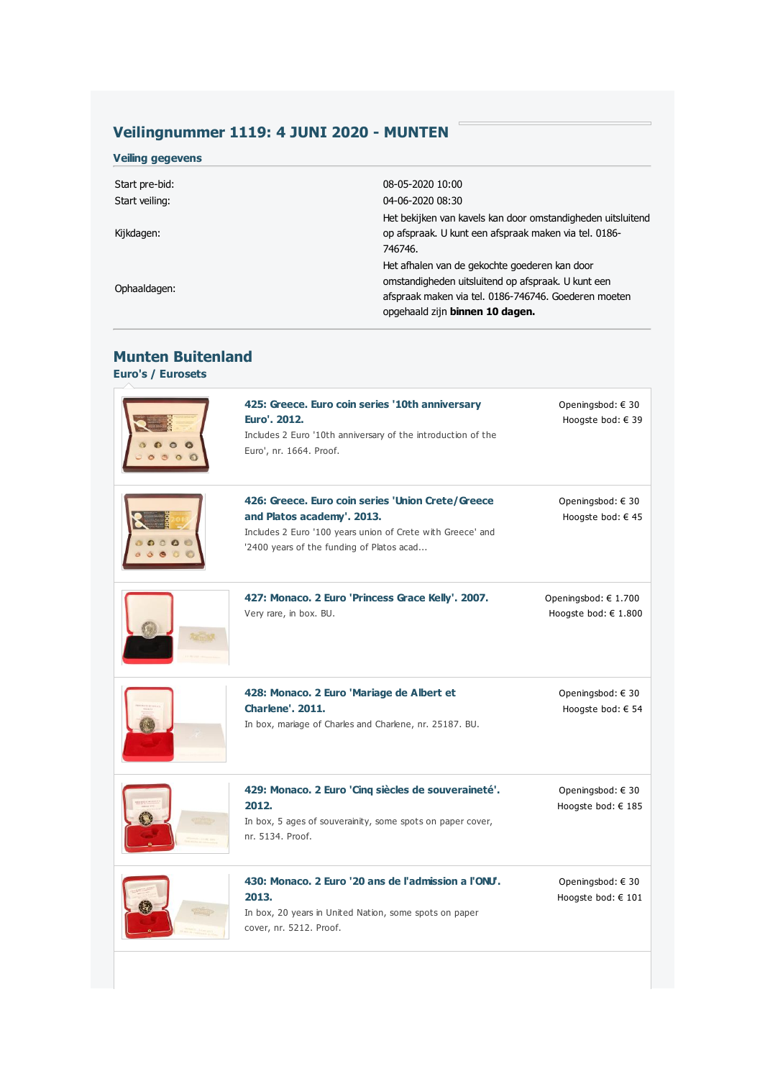## **Veilingnummer 1119: 4 JUNI 2020 - MUNTEN**

| <b>Veiling gegevens</b> |                                                                                                                                                                                                |
|-------------------------|------------------------------------------------------------------------------------------------------------------------------------------------------------------------------------------------|
| Start pre-bid:          | 08-05-2020 10:00                                                                                                                                                                               |
| Start veiling:          | 04-06-2020 08:30                                                                                                                                                                               |
| Kijkdagen:              | Het bekijken van kavels kan door omstandigheden uitsluitend<br>op afspraak. U kunt een afspraak maken via tel. 0186-<br>746746.                                                                |
| Ophaaldagen:            | Het afhalen van de gekochte goederen kan door<br>omstandigheden uitsluitend op afspraak. U kunt een<br>afspraak maken via tel. 0186-746746. Goederen moeten<br>opgehaald zijn binnen 10 dagen. |

## **Munten Buitenland Euro's / Eurosets**

| 425: Greece. Euro coin series '10th anniversary<br>Euro', 2012.<br>Includes 2 Euro '10th anniversary of the introduction of the<br>Euro', nr. 1664. Proof.                                 | Openingsbod: $\in$ 30<br>Hoogste bod: € 39       |
|--------------------------------------------------------------------------------------------------------------------------------------------------------------------------------------------|--------------------------------------------------|
| 426: Greece. Euro coin series 'Union Crete/Greece<br>and Platos academy'. 2013.<br>Includes 2 Euro '100 years union of Crete with Greece' and<br>'2400 years of the funding of Platos acad | Openingsbod: € 30<br>Hoogste bod: $\in$ 45       |
| 427: Monaco. 2 Euro 'Princess Grace Kelly'. 2007.<br>Very rare, in box. BU.                                                                                                                | Openingsbod: € 1.700<br>Hoogste bod: $\in$ 1.800 |
| 428: Monaco. 2 Euro 'Mariage de Albert et<br><b>Charlene', 2011.</b><br>In box, mariage of Charles and Charlene, nr. 25187. BU.                                                            | Openingsbod: € 30<br>Hoogste bod: € 54           |
| 429: Monaco. 2 Euro 'Cinq siècles de souveraineté'.<br>2012.<br>In box, 5 ages of souverainity, some spots on paper cover,<br>nr. 5134. Proof.                                             | Openingsbod: € 30<br>Hoogste bod: € 185          |
| 430: Monaco, 2 Euro '20 ans de l'admission a l'ONU.<br>2013.<br>In box, 20 years in United Nation, some spots on paper<br>cover, nr. 5212. Proof.                                          | Openingsbod: € 30<br>Hoogste bod: € 101          |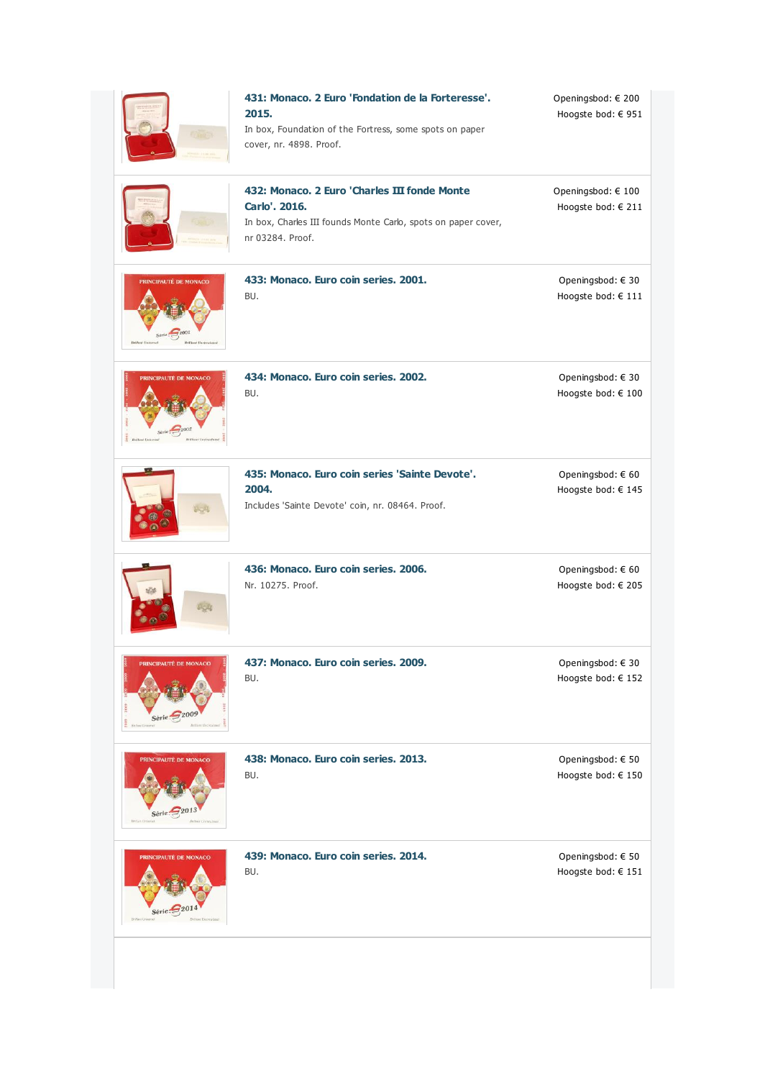|                                                     | 431: Monaco. 2 Euro 'Fondation de la Forteresse'.<br>2015.<br>In box, Foundation of the Fortress, some spots on paper<br>cover, nr. 4898. Proof.   | Openingsbod: € 200<br>Hoogste bod: € 951    |
|-----------------------------------------------------|----------------------------------------------------------------------------------------------------------------------------------------------------|---------------------------------------------|
|                                                     | 432: Monaco, 2 Euro 'Charles III fonde Monte<br>Carlo', 2016.<br>In box, Charles III founds Monte Carlo, spots on paper cover,<br>nr 03284, Proof. | Openingsbod: € 100<br>Hoogste bod: € 211    |
| <b>PRINCIPAUTÉ DE MONACO</b><br>$\frac{1}{20}$      | 433: Monaco. Euro coin series. 2001.<br>BU.                                                                                                        | Openingsbod: € 30<br>Hoogste bod: $\in$ 111 |
| PRINCIPAUTÉ DE MONACO                               | 434: Monaco. Euro coin series. 2002.<br>BU.                                                                                                        | Openingsbod: € 30<br>Hoogste bod: € 100     |
|                                                     | 435: Monaco. Euro coin series 'Sainte Devote'.<br>2004.<br>Includes 'Sainte Devote' coin, nr. 08464. Proof.                                        | Openingsbod: € 60<br>Hoogste bod: $\in$ 145 |
|                                                     | 436: Monaco. Euro coin series. 2006.<br>Nr. 10275. Proof.                                                                                          | Openingsbod: € 60<br>Hoogste bod: € 205     |
| <b>NUTE DE MO</b><br>Série:                         | 437: Monaco. Euro coin series. 2009.<br>BU.                                                                                                        | Openingsbod: € 30<br>Hoogste bod: € 152     |
| PRINCIPAUTÉ DE MONACO                               | 438: Monaco. Euro coin series. 2013.<br>BU.                                                                                                        | Openingsbod: $\in$ 50<br>Hoogste bod: € 150 |
| <b>PRINCIPAUTÉ DE MONACO</b><br>Série $\frac{2}{3}$ | 439: Monaco. Euro coin series. 2014.<br>BU.                                                                                                        | Openingsbod: € 50<br>Hoogste bod: $\in$ 151 |
|                                                     |                                                                                                                                                    |                                             |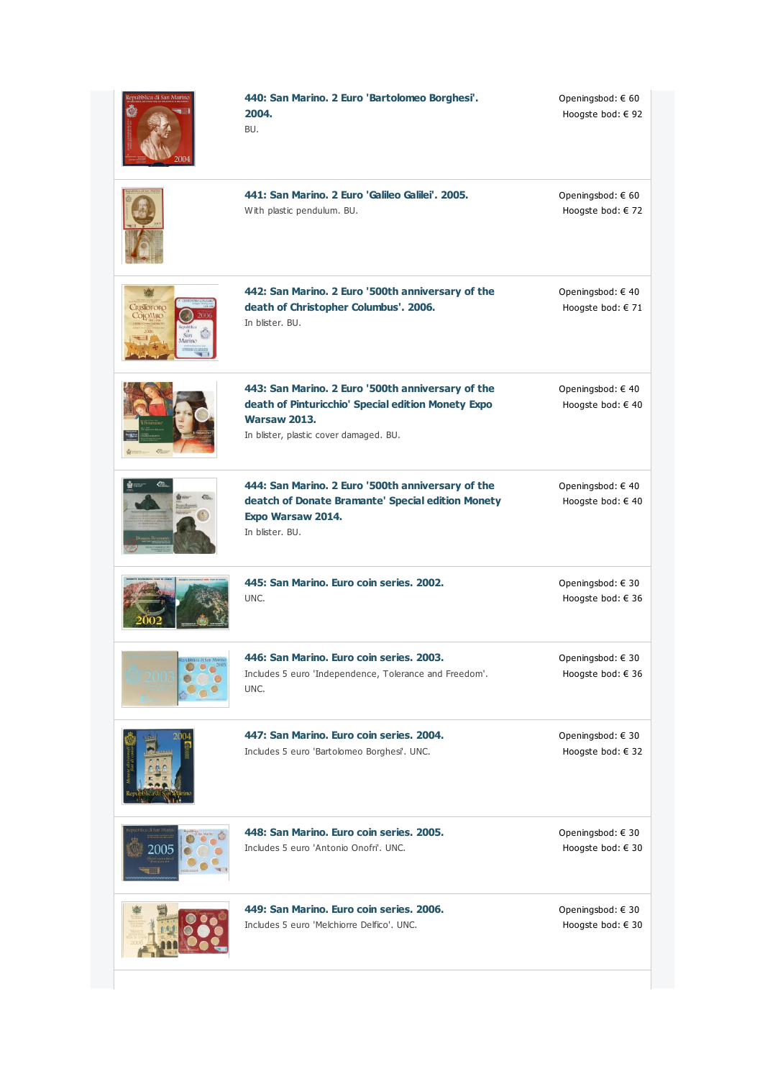| epubblica di San Marino                      | 440: San Marino. 2 Euro 'Bartolomeo Borghesi'.<br>2004.<br>BU.                                                                                                           | Openingsbod: € 60<br>Hoogste bod: € 92    |
|----------------------------------------------|--------------------------------------------------------------------------------------------------------------------------------------------------------------------------|-------------------------------------------|
|                                              | 441: San Marino, 2 Euro 'Galileo Galilei', 2005.<br>With plastic pendulum. BU.                                                                                           | Openingsbod: € 60<br>Hoogste bod: € 72    |
| <b>CRISTOFORO</b><br>СОЮМВО<br>San<br>Marino | 442: San Marino. 2 Euro '500th anniversary of the<br>death of Christopher Columbus'. 2006.<br>In blister. BU.                                                            | Openingsbod: €40<br>Hoogste bod: € 71     |
|                                              | 443: San Marino. 2 Euro '500th anniversary of the<br>death of Pinturicchio' Special edition Monety Expo<br><b>Warsaw 2013.</b><br>In blister, plastic cover damaged. BU. | Openingsbod: €40<br>Hoogste bod: € 40     |
|                                              | 444: San Marino. 2 Euro '500th anniversary of the<br>deatch of Donate Bramante' Special edition Monety<br>Expo Warsaw 2014.<br>In blister, BU.                           | Openingsbod: €40<br>Hoogste bod: $\in$ 40 |
|                                              | 445: San Marino, Euro coin series, 2002.<br>UNC.                                                                                                                         | Openingsbod: € 30<br>Hoogste bod: € 36    |
| epabblica di San Marino                      | 446: San Marino, Euro coin series, 2003,<br>Includes 5 euro 'Independence, Tolerance and Freedom'.<br>UNC.                                                               | Openingsbod: € 30<br>Hoogste bod: € 36    |
|                                              | 447: San Marino. Euro coin series. 2004.<br>Includes 5 euro 'Bartolomeo Borghesi'. UNC.                                                                                  | Openingsbod: € 30<br>Hoogste bod: € 32    |
|                                              | 448: San Marino, Euro coin series, 2005.<br>Includes 5 euro 'Antonio Onofri', UNC.                                                                                       | Openingsbod: € 30<br>Hoogste bod: € 30    |
|                                              | 449: San Marino, Euro coin series, 2006,<br>Includes 5 euro 'Melchiorre Delfico', UNC.                                                                                   | Openingsbod: € 30<br>Hoogste bod: € 30    |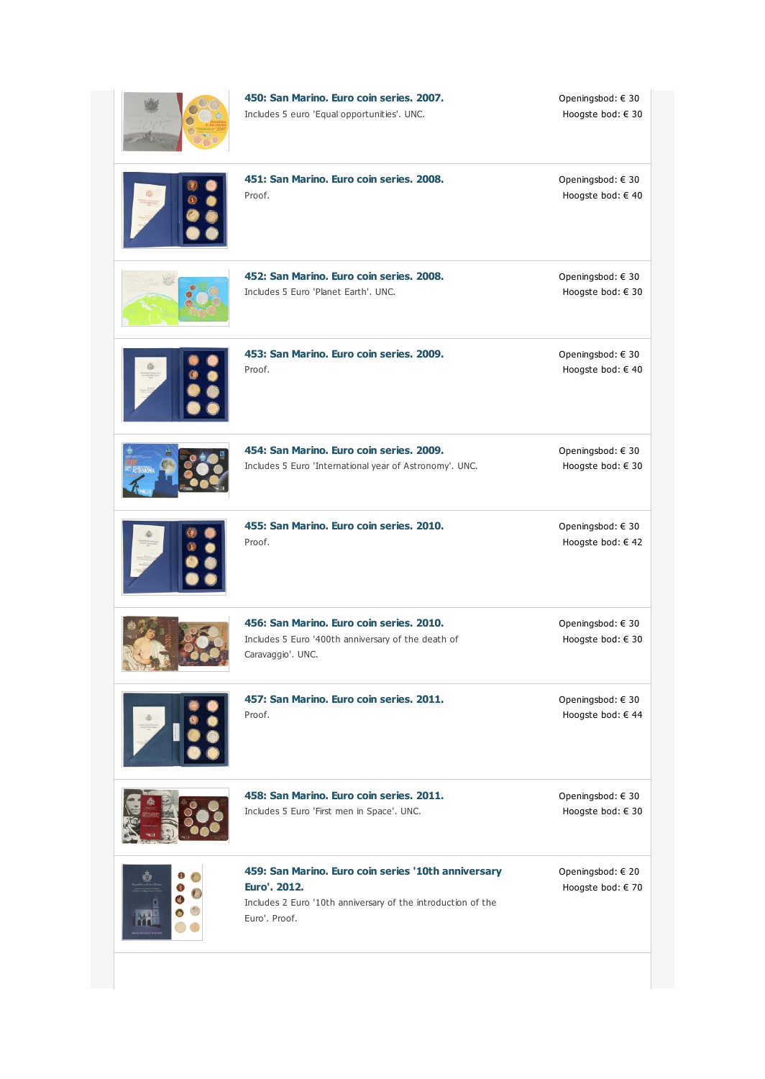| 450: San Marino. Euro coin series. 2007.<br>Includes 5 euro 'Equal opportunities'. UNC.                                                              | Openingsbod: $\in$ 30<br>Hoogste bod: € 30 |
|------------------------------------------------------------------------------------------------------------------------------------------------------|--------------------------------------------|
| 451: San Marino. Euro coin series. 2008.<br>Proof.                                                                                                   | Openingsbod: €30<br>Hoogste bod: € 40      |
| 452: San Marino. Euro coin series. 2008.<br>Includes 5 Euro 'Planet Earth', UNC.                                                                     | Openingsbod: € 30<br>Hoogste bod: € 30     |
| 453: San Marino. Euro coin series. 2009.<br>Proof.                                                                                                   | Openingsbod: € 30<br>Hoogste bod: € 40     |
| 454: San Marino, Euro coin series, 2009,<br>Includes 5 Euro 'International year of Astronomy'. UNC.                                                  | Openingsbod: €30<br>Hoogste bod: € 30      |
| 455: San Marino, Euro coin series, 2010.<br>Proof.                                                                                                   | Openingsbod: € 30<br>Hoogste bod: € 42     |
| 456: San Marino, Euro coin series, 2010.<br>Includes 5 Euro '400th anniversary of the death of<br>Caravaggio'. UNC.                                  | Openingsbod: € 30<br>Hoogste bod: € 30     |
| 457: San Marino. Euro coin series. 2011.<br>Proof.                                                                                                   | Openingsbod: €30<br>Hoogste bod: € 44      |
| 458: San Marino. Euro coin series. 2011.<br>Includes 5 Euro 'First men in Space'. UNC.                                                               | Openingsbod: € 30<br>Hoogste bod: € 30     |
| 459: San Marino. Euro coin series '10th anniversary<br>Euro', 2012.<br>Includes 2 Euro '10th anniversary of the introduction of the<br>Euro', Proof. | Openingsbod: € 20<br>Hoogste bod: € 70     |
|                                                                                                                                                      |                                            |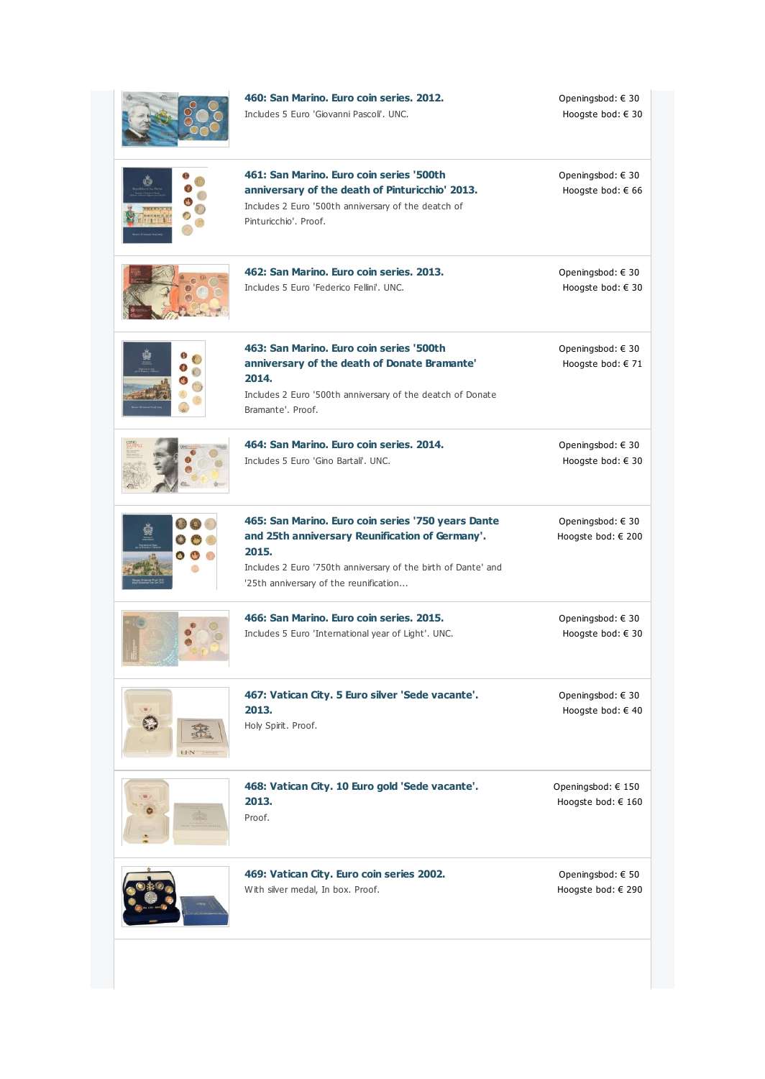|            | 460: San Marino, Euro coin series, 2012,<br>Includes 5 Euro 'Giovanni Pascoli', UNC.                                                                                                                                      | Openingsbod: € 30<br>Hoogste bod: € 30     |
|------------|---------------------------------------------------------------------------------------------------------------------------------------------------------------------------------------------------------------------------|--------------------------------------------|
|            | 461: San Marino. Euro coin series '500th<br>anniversary of the death of Pinturicchio' 2013.<br>Includes 2 Euro '500th anniversary of the deatch of<br>Pinturicchio', Proof.                                               | Openingsbod: $\in$ 30<br>Hoogste bod: € 66 |
|            | 462: San Marino. Euro coin series. 2013.<br>Includes 5 Euro 'Federico Fellini', UNC.                                                                                                                                      | Openingsbod: € 30<br>Hoogste bod: € 30     |
|            | 463: San Marino, Euro coin series '500th<br>anniversary of the death of Donate Bramante'<br>2014.<br>Includes 2 Euro '500th anniversary of the deatch of Donate<br>Bramante', Proof.                                      | Openingsbod: € 30<br>Hoogste bod: $\in$ 71 |
|            | 464: San Marino, Euro coin series, 2014.<br>Includes 5 Euro 'Gino Bartali', UNC.                                                                                                                                          | Openingsbod: € 30<br>Hoogste bod: € 30     |
| $\bullet$  | 465: San Marino. Euro coin series '750 years Dante<br>and 25th anniversary Reunification of Germany'.<br>2015.<br>Includes 2 Euro '750th anniversary of the birth of Dante' and<br>'25th anniversary of the reunification | Openingsbod: € 30<br>Hoogste bod: € 200    |
|            | 466: San Marino. Euro coin series. 2015.<br>Includes 5 Euro 'International year of Light'. UNC.                                                                                                                           | Openingsbod: € 30<br>Hoogste bod: € 30     |
| <b>LEN</b> | 467: Vatican City. 5 Euro silver 'Sede vacante'.<br>2013.<br>Holy Spirit. Proof.                                                                                                                                          | Openingsbod: € 30<br>Hoogste bod: € 40     |
|            | 468: Vatican City. 10 Euro gold 'Sede vacante'.<br>2013.<br>Proof.                                                                                                                                                        | Openingsbod: € 150<br>Hoogste bod: € 160   |
|            | 469: Vatican City. Euro coin series 2002.<br>With silver medal, In box. Proof.                                                                                                                                            | Openingsbod: € 50<br>Hoogste bod: € 290    |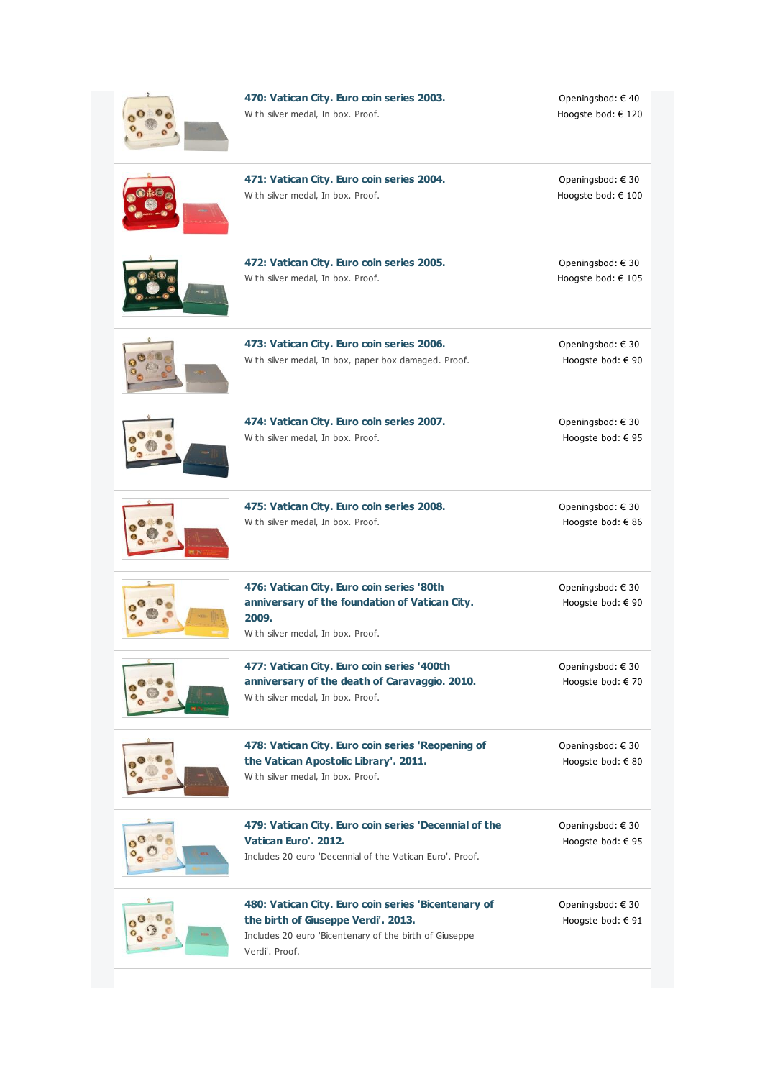| 470: Vatican City. Euro coin series 2003.<br>With silver medal, In box. Proof.                                                                                        | Openingsbod: € 40<br>Hoogste bod: € 120        |
|-----------------------------------------------------------------------------------------------------------------------------------------------------------------------|------------------------------------------------|
| 471: Vatican City. Euro coin series 2004.<br>With silver medal, In box. Proof.                                                                                        | Openingsbod: € 30<br>Hoogste bod: € 100        |
| 472: Vatican City. Euro coin series 2005.<br>With silver medal, In box. Proof.                                                                                        | Openingsbod: € 30<br>Hoogste bod: € 105        |
| 473: Vatican City. Euro coin series 2006.<br>With silver medal, In box, paper box damaged. Proof.                                                                     | Openingsbod: € 30<br>Hoogste bod: € 90         |
| 474: Vatican City. Euro coin series 2007.<br>With silver medal, In box. Proof.                                                                                        | Openingsbod: $\in$ 30<br>Hoogste bod: € 95     |
| 475: Vatican City. Euro coin series 2008.<br>With silver medal, In box. Proof.                                                                                        | Openingsbod: € 30<br>Hoogste bod: € 86         |
| 476: Vatican City. Euro coin series '80th<br>anniversary of the foundation of Vatican City.<br>2009.<br>With silver medal, In box. Proof.                             | Openingsbod: $\in$ 30<br>Hoogste bod: € 90     |
| 477: Vatican City. Euro coin series '400th<br>anniversary of the death of Caravaggio. 2010.<br>With silver medal, In box. Proof.                                      | Openingsbod: € 30<br>Hoogste bod: € 70         |
| 478: Vatican City. Euro coin series 'Reopening of<br>the Vatican Apostolic Library'. 2011.<br>With silver medal, In box. Proof.                                       | Openingsbod: $\in$ 30<br>Hoogste bod: € 80     |
| 479: Vatican City. Euro coin series 'Decennial of the<br>Vatican Euro', 2012.<br>Includes 20 euro 'Decennial of the Vatican Euro', Proof,                             | Openingsbod: $\in$ 30<br>Hoogste bod: € 95     |
| 480: Vatican City. Euro coin series 'Bicentenary of<br>the birth of Guseppe Verdi'. 2013.<br>Includes 20 euro 'Bicentenary of the birth of Giuseppe<br>Verdi'. Proof. | Openingsbod: $\in$ 30<br>Hoogste bod: $\in$ 91 |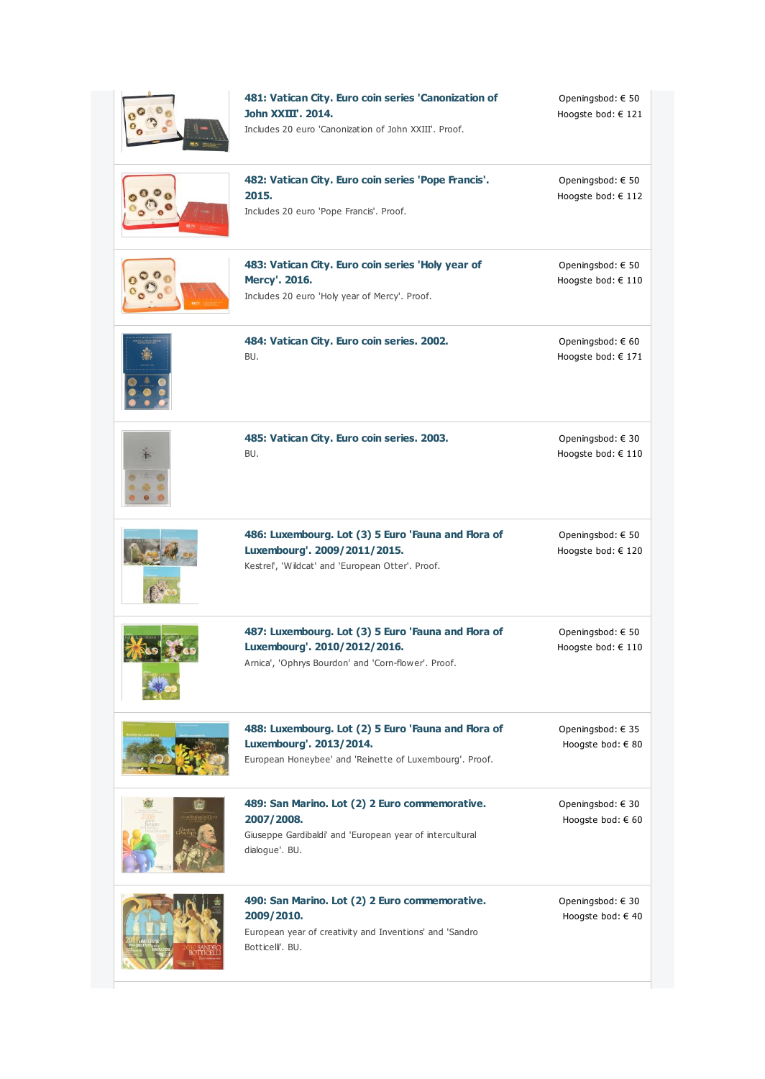| 481: Vatican City. Euro coin series 'Canonization of<br>John XXIII', 2014.<br>Includes 20 euro 'Canonization of John XXIII'. Proof.        | Openingsbod: € 50<br>Hoogste bod: € 121     |
|--------------------------------------------------------------------------------------------------------------------------------------------|---------------------------------------------|
| 482: Vatican City. Euro coin series 'Pope Francis'.<br>2015.<br>Includes 20 euro 'Pope Francis'. Proof.                                    | Openingsbod: € 50<br>Hoogste bod: € 112     |
| 483: Vatican City. Euro coin series 'Holy year of<br>Mercy'. 2016.<br>Includes 20 euro 'Holy year of Mercy'. Proof.                        | Openingsbod: € 50<br>Hoogste bod: € 110     |
| 484: Vatican City. Euro coin series. 2002.<br>BU.                                                                                          | Openingsbod: $\in$ 60<br>Hoogste bod: € 171 |
| 485: Vatican City. Euro coin series. 2003.<br>BU.                                                                                          | Openingsbod: € 30<br>Hoogste bod: € 110     |
| 486: Luxembourg. Lot (3) 5 Euro 'Fauna and Flora of<br>Luxembourg'. 2009/2011/2015.<br>Kestrel', 'Wildcat' and 'European Otter'. Proof.    | Openingsbod: € 50<br>Hoogste bod: € 120     |
| 487: Luxembourg. Lot (3) 5 Euro 'Fauna and Flora of<br>Luxembourg'. 2010/2012/2016.<br>Arnica', 'Ophrys Bourdon' and 'Corn-flower'. Proof. | Openingsbod: € 50<br>Hoogste bod: € 110     |
| 488: Luxembourg. Lot (2) 5 Euro 'Fauna and Flora of<br>Luxembourg'. 2013/2014.<br>European Honeybee' and 'Reinette of Luxembourg'. Proof.  | Openingsbod: €35<br>Hoogste bod: € 80       |
| 489: San Marino. Lot (2) 2 Euro commemorative.<br>2007/2008.<br>Giuseppe Gardibaldi' and 'European year of intercultural<br>dialogue'. BU. | Openingsbod: € 30<br>Hoogste bod: € 60      |
| 490: San Marino. Lot (2) 2 Euro commemorative.<br>2009/2010.<br>European year of creativity and Inventions' and 'Sandro<br>Botticell', BU. | Openingsbod: € 30<br>Hoogste bod: € 40      |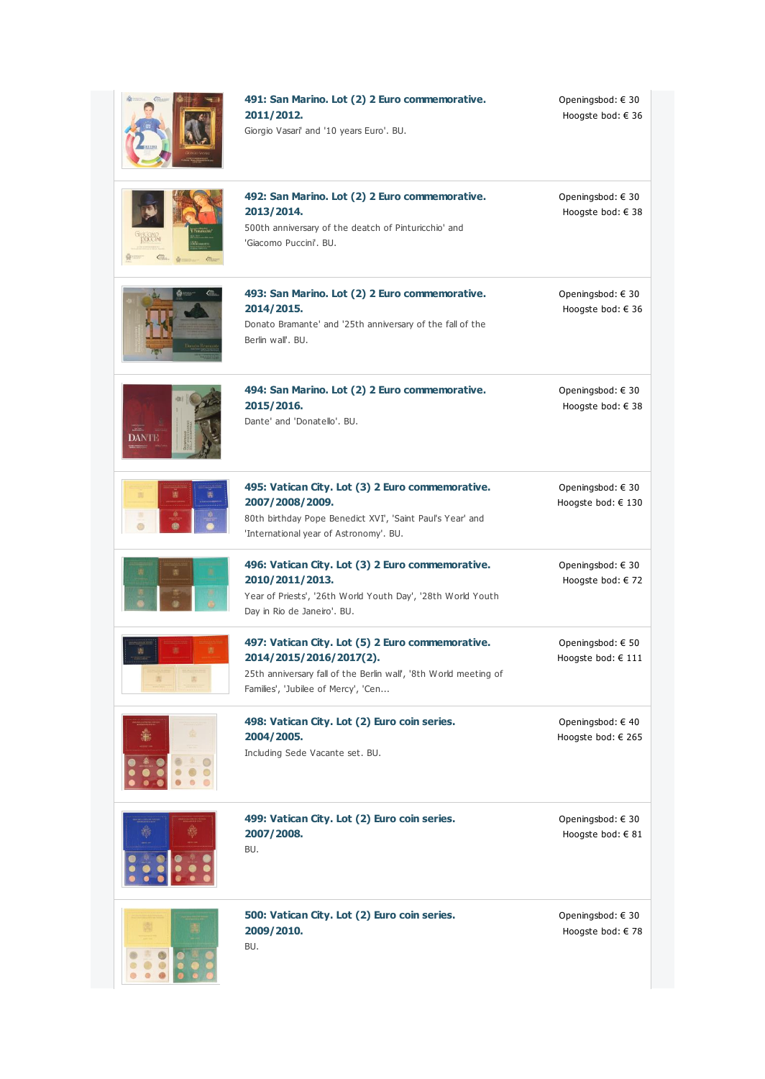|            | 491: San Marino. Lot (2) 2 Euro commemorative.<br>2011/2012.<br>Giorgio Vasari' and '10 years Euro'. BU.                                                                               | Openingsbod: $\in$ 30<br>Hoogste bod: € 36 |
|------------|----------------------------------------------------------------------------------------------------------------------------------------------------------------------------------------|--------------------------------------------|
| $\alpha -$ | 492: San Marino. Lot (2) 2 Euro commemorative.<br>2013/2014.<br>500th anniversary of the deatch of Pinturicchio' and<br>'Giacomo Puccini'. BU.                                         | Openingsbod: € 30<br>Hoogste bod: € 38     |
|            | 493: San Marino. Lot (2) 2 Euro commemorative.<br>2014/2015.<br>Donato Bramante' and '25th anniversary of the fall of the<br>Berlin wall'. BU.                                         | Openingsbod: € 30<br>Hoogste bod: $\in$ 36 |
| DANTE      | 494: San Marino. Lot (2) 2 Euro commemorative.<br>2015/2016.<br>Dante' and 'Donatello'. BU.                                                                                            | Openingsbod: € 30<br>Hoogste bod: $\in$ 38 |
| Ō          | 495: Vatican City. Lot (3) 2 Euro commemorative.<br>2007/2008/2009.<br>80th birthday Pope Benedict XVI', 'Saint Paul's Year' and<br>'International year of Astronomy'. BU.             | Openingsbod: € 30<br>Hoogste bod: € 130    |
|            | 496: Vatican City. Lot (3) 2 Euro commemorative.<br>2010/2011/2013.<br>Year of Priests', '26th World Youth Day', '28th World Youth<br>Day in Rio de Janeiro'. BU.                      | Openingsbod: € 30<br>Hoogste bod: $\in$ 72 |
|            | 497: Vatican City. Lot (5) 2 Euro commemorative.<br>2014/2015/2016/2017(2).<br>25th anniversary fall of the Berlin wall', '8th World meeting of<br>Families', 'Jubilee of Mercy', 'Cen | Openingsbod: € 50<br>Hoogste bod: € 111    |
|            | 498: Vatican City. Lot (2) Euro coin series.<br>2004/2005.<br>Including Sede Vacante set. BU.                                                                                          | Openingsbod: €40<br>Hoogste bod: € 265     |
|            | 499: Vatican City. Lot (2) Euro coin series.<br>2007/2008.<br>BU.                                                                                                                      | Openingsbod: €30<br>Hoogste bod: € 81      |
|            | 500: Vatican City. Lot (2) Euro coin series.<br>2009/2010.<br>BU.                                                                                                                      | Openingsbod: €30<br>Hoogste bod: € 78      |